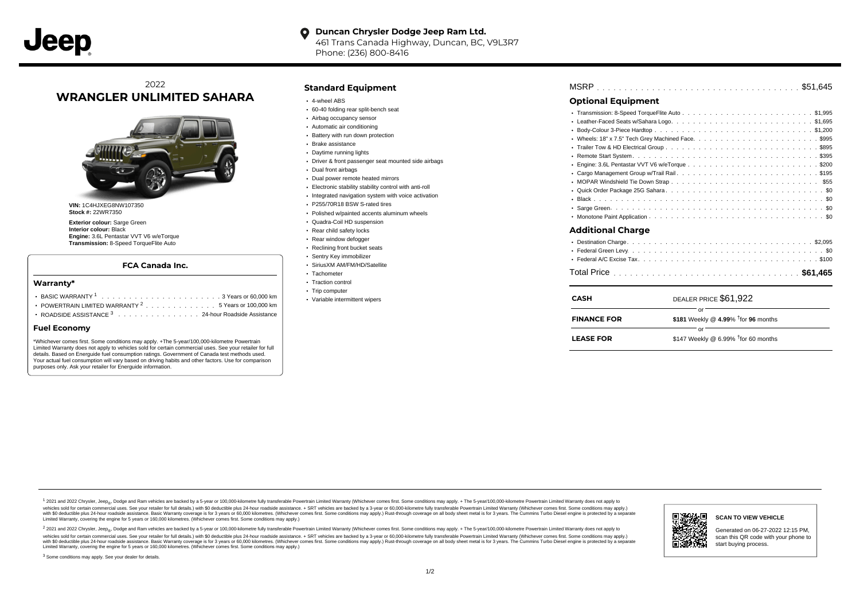### **Duncan Chrysler Dodge Jeep Ram Ltd.**  $\bullet$

461 Trans Canada Highway, Duncan, BC, V9L3R7 Phone: (236) 800-8416

# 2022 **WRANGLER UNLIMITED SAHARA**



**VIN:** 1C4HJXEG8NW107350 **Stock #:** 22WR7350

**Exterior colour:** Sarge Green **Interior colour:** Black **Engine:** 3.6L Pentastar VVT V6 w/eTorque **Transmission:** 8-Speed TorqueFlite Auto

### **FCA Canada Inc.**

### **Warranty\***

| • POWERTRAIN LIMITED WARRANTY $2, \ldots, \ldots, \ldots, \ldots, 5$ Years or 100,000 km |  |  |  |  |  |
|------------------------------------------------------------------------------------------|--|--|--|--|--|
| ROADSIDE ASSISTANCE 3 24-hour Roadside Assistance                                        |  |  |  |  |  |

### **Fuel Economy**

\*Whichever comes first. Some conditions may apply. +The 5-year/100,000-kilometre Powertrain Limited Warranty does not apply to vehicles sold for certain commercial uses. See your retailer for full details. Based on Energuide fuel consumption ratings. Government of Canada test methods used. Your actual fuel consumption will vary based on driving habits and other factors. Use for comparison purposes only. Ask your retailer for Energuide information.

### **Standard Equipment**

- 4-wheel ABS
- 60-40 folding rear split-bench seat
- Airbag occupancy sensor
- Automatic air conditioning
- Battery with run down protection
- Brake assistance
- Daytime running lights
- Driver & front passenger seat mounted side airbags
- Dual front airbags
- Dual power remote heated mirrors
- Electronic stability stability control with anti-roll
- Integrated navigation system with voice activation
- P255/70R18 BSW S-rated tires
- Polished w/painted accents aluminum wheels
- Quadra-Coil HD suspension
- Rear child safety locks
- Rear window defogger
- Reclining front bucket seats
- Sentry Key immobilizer
- SiriusXM AM/FM/HD/Satellite
- Tachometer • Traction control
- Trip computer
- Variable intermittent wipers

# . . . . . . . . . . . . . . . . . . . . . . . . . . . . . . . . . . . . . . . . . . . . . . MSRP \$51,645

## **Optional Equipment**

| <b>CASH</b>              | DEALER PRICE \$61,922 |
|--------------------------|-----------------------|
|                          |                       |
| $\bullet$                |                       |
| <b>Additional Charge</b> |                       |
|                          |                       |
|                          |                       |
| ٠                        |                       |
|                          |                       |
|                          |                       |
| $\bullet$                |                       |
|                          |                       |
|                          |                       |
|                          |                       |

| <b>FINANCE FOR</b> | \$181 Weekly @ 4.99% $†$ for 96 months |  |
|--------------------|----------------------------------------|--|
|                    |                                        |  |

1 2021 and 2022 Chrysler, Jeep<sub>en</sub> Dodge and Ram vehicles are backed by a 5-year or 100,000-kilometre fully transferable Powertrain Limited Warranty (Whichever comes first. Some conditions may apply. + The 5-year/100,000-k rebicles sold for certain commercial uses. See your retailer for full details) with S0 deductible plus 24-hour madside assistance. + SRT vehicles are backed by a 3-year or 60.000-kilometre fully transferable Powertrain Lim ventals and contract when the contract when the contract you contract when the contract when the control of the set of a set of a set of a set of 3 years of 60,000 kilometres. Whichever comes first. Some conditions may app Limited Warranty, covering the engine for 5 years or 160,000 kilometres. (Whichever comes first. Some conditions may apply.)

2 2021 and 2022 Chrysler, Jeep<sub>es</sub> Dodge and Ram vehicles are backed by a 5-year or 100,000-kilometre fully transferable Powertrain Limited Warranty (Whichever comes first. Some conditions may apply. + The 5-year/100,000-k vehicles sold for certain commercial uses. See your retailer for full details.) with SO deductible plus 24-hour roadside assistance. + SRT vehicles are backed by a 3-year or 60.000-kilometre fully transferable Powertrain L with S0 deductible plus 24-hour roadside assistance. Basic Warranty coverage is for 3 years or 60,000 kilometres. (Whichever comes first. Some conditions may apply.) Rust-through coverage on all body sheet metal is for 3 y



### **SCAN TO VIEW VEHICLE**

Generated on 06-27-2022 12:15 PM, scan this QR code with your phone to start buying process.

<sup>3</sup> Some conditions may apply. See your dealer for details.